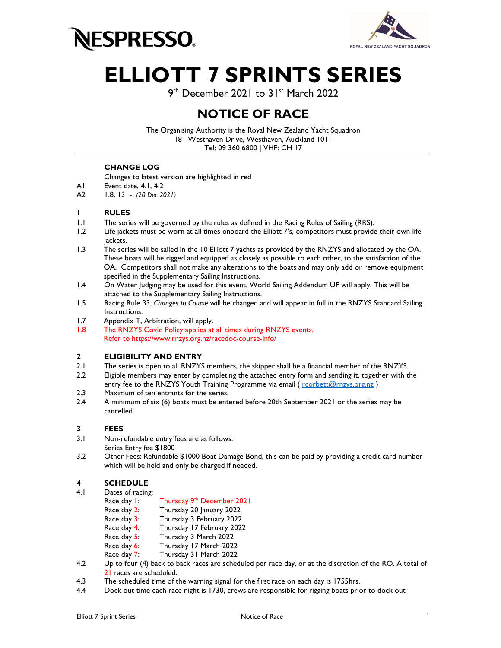



# ELLIOTT 7 SPRINTS SERIES

9<sup>th</sup> December 2021 to 31st March 2022

### NOTICE OF RACE

The Organising Authority is the Royal New Zealand Yacht Squadron 181 Westhaven Drive, Westhaven, Auckland 1011 Tel: 09 360 6800 | VHF: CH 17

#### CHANGE LOG

Changes to latest version are highlighted in red

- A1 Event date, 4.1, 4.2
- A2 1.8, 13 (20 Dec 2021)

#### 1 RULES

- 1.1 The series will be governed by the rules as defined in the Racing Rules of Sailing (RRS).
- 1.2 Life jackets must be worn at all times onboard the Elliott 7's, competitors must provide their own life jackets.
- 1.3 The series will be sailed in the 10 Elliott 7 yachts as provided by the RNZYS and allocated by the OA. These boats will be rigged and equipped as closely as possible to each other, to the satisfaction of the OA. Competitors shall not make any alterations to the boats and may only add or remove equipment specified in the Supplementary Sailing Instructions.
- 1.4 On Water Judging may be used for this event. World Sailing Addendum UF will apply. This will be attached to the Supplementary Sailing Instructions.
- 1.5 Racing Rule 33, Changes to Course will be changed and will appear in full in the RNZYS Standard Sailing Instructions.
- 1.7 Appendix T, Arbitration, will apply.
- 1.8 The RNZYS Covid Policy applies at all times during RNZYS events. Refer to https://www.rnzys.org.nz/racedoc-course-info/

#### 2 ELIGIBILITY AND ENTRY

- 2.1 The series is open to all RNZYS members, the skipper shall be a financial member of the RNZYS.
- 2.2 Eligible members may enter by completing the attached entry form and sending it, together with the entry fee to the RNZYS Youth Training Programme via email ( $rccotlett@rnzys.org.nz$ )
- 2.3 Maximum of ten entrants for the series.
- 2.4 A minimum of six (6) boats must be entered before 20th September 2021 or the series may be cancelled.

#### 3 FEES

- 3.1 Non-refundable entry fees are as follows:
- Series Entry fee \$1800
- 3.2 Other Fees: Refundable \$1000 Boat Damage Bond, this can be paid by providing a credit card number which will be held and only be charged if needed.

#### 4 SCHEDULE

- 4.1 Dates of racing:
	- Race day 1: Thursday 9th December 2021
	- Race day 2: Thursday 20 January 2022
	- Race day 3: Thursday 3 February 2022<br>Race day 4: Thursday 17 February 202
	- Thursday 17 February 2022
	- Race day 5: Thursday 3 March 2022
	- Race day 6: Thursday 17 March 2022
	- Race day 7: Thursday 31 March 2022
- 4.2 Up to four (4) back to back races are scheduled per race day, or at the discretion of the RO. A total of 21 races are scheduled.
- 4.3 The scheduled time of the warning signal for the first race on each day is 1755hrs.
- 4.4 Dock out time each race night is 1730, crews are responsible for rigging boats prior to dock out